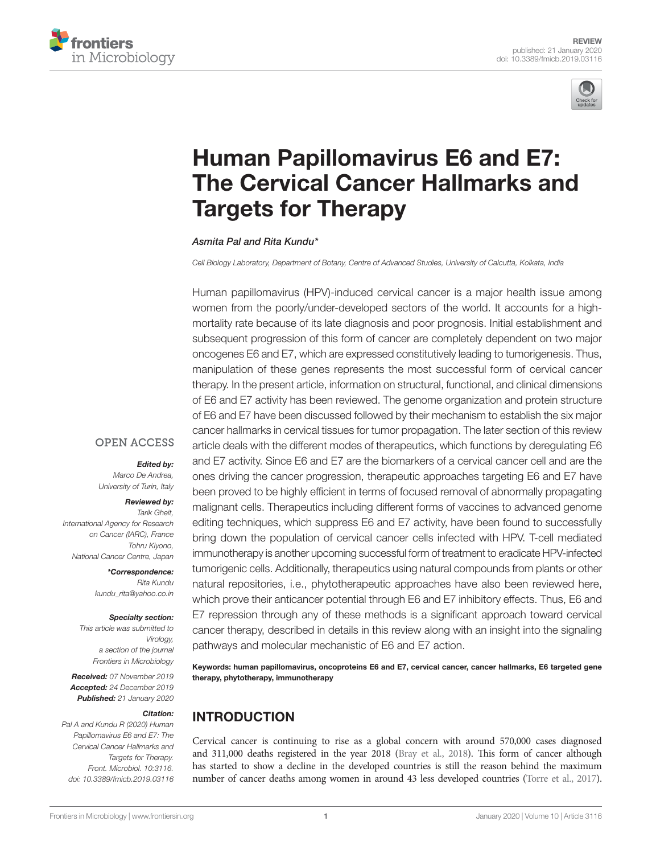



# Human Papillomavirus E6 and E7: The Cervical Cancer Hallmarks and Targets for Therapy

#### Asmita Pal and Rita Kundu\*

*Cell Biology Laboratory, Department of Botany, Centre of Advanced Studies, University of Calcutta, Kolkata, India*

Human papillomavirus (HPV)-induced cervical cancer is a major health issue among women from the poorly/under-developed sectors of the world. It accounts for a highmortality rate because of its late diagnosis and poor prognosis. Initial establishment and subsequent progression of this form of cancer are completely dependent on two major oncogenes E6 and E7, which are expressed constitutively leading to tumorigenesis. Thus, manipulation of these genes represents the most successful form of cervical cancer therapy. In the present article, information on structural, functional, and clinical dimensions of E6 and E7 activity has been reviewed. The genome organization and protein structure of E6 and E7 have been discussed followed by their mechanism to establish the six major cancer hallmarks in cervical tissues for tumor propagation. The later section of this review article deals with the different modes of therapeutics, which functions by deregulating E6 and E7 activity. Since E6 and E7 are the biomarkers of a cervical cancer cell and are the ones driving the cancer progression, therapeutic approaches targeting E6 and E7 have been proved to be highly efficient in terms of focused removal of abnormally propagating malignant cells. Therapeutics including different forms of vaccines to advanced genome editing techniques, which suppress E6 and E7 activity, have been found to successfully bring down the population of cervical cancer cells infected with HPV. T-cell mediated immunotherapy is another upcoming successful form of treatment to eradicate HPV-infected tumorigenic cells. Additionally, therapeutics using natural compounds from plants or other natural repositories, i.e., phytotherapeutic approaches have also been reviewed here, which prove their anticancer potential through E6 and E7 inhibitory effects. Thus, E6 and E7 repression through any of these methods is a significant approach toward cervical cancer therapy, described in details in this review along with an insight into the signaling pathways and molecular mechanistic of E6 and E7 action.

Keywords: human papillomavirus, oncoproteins E6 and E7, cervical cancer, cancer hallmarks, E6 targeted gene therapy, phytotherapy, immunotherapy

## INTRODUCTION

Cervical cancer is continuing to rise as a global concern with around 570,000 cases diagnosed and 311,000 deaths registered in the year 2018 (Bray et al., 2018). This form of cancer although has started to show a decline in the developed countries is still the reason behind the maximum number of cancer deaths among women in around 43 less developed countries (Torre et al., 2017).

#### **OPEN ACCESS**

#### Edited by:

*Marco De Andrea, University of Turin, Italy*

#### Reviewed by:

*Tarik Gheit, International Agency for Research on Cancer (IARC), France Tohru Kiyono, National Cancer Centre, Japan*

> \*Correspondence: *Rita Kundu kundu\_rita@yahoo.co.in*

#### Specialty section:

*This article was submitted to Virology, a section of the journal Frontiers in Microbiology*

Received: *07 November 2019* Accepted: *24 December 2019* Published: *21 January 2020*

#### Citation:

*Pal A and Kundu R (2020) Human Papillomavirus E6 and E7: The Cervical Cancer Hallmarks and Targets for Therapy. Front. Microbiol. 10:3116. doi: 10.3389/fmicb.2019.03116*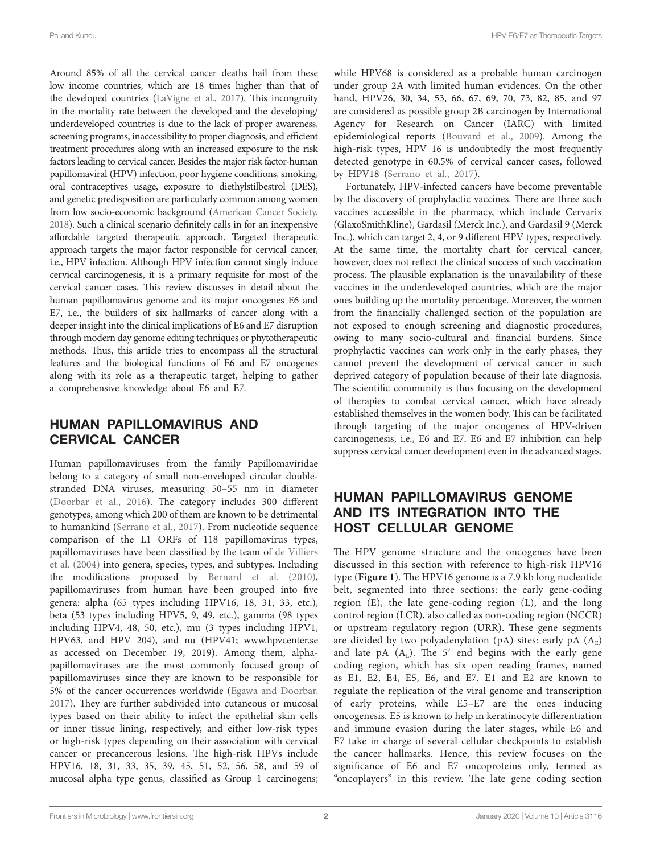Around 85% of all the cervical cancer deaths hail from these low income countries, which are 18 times higher than that of the developed countries (LaVigne et al., 2017). This incongruity in the mortality rate between the developed and the developing/ underdeveloped countries is due to the lack of proper awareness, screening programs, inaccessibility to proper diagnosis, and efficient treatment procedures along with an increased exposure to the risk factors leading to cervical cancer. Besides the major risk factor-human papillomaviral (HPV) infection, poor hygiene conditions, smoking, oral contraceptives usage, exposure to diethylstilbestrol (DES), and genetic predisposition are particularly common among women from low socio-economic background (American Cancer Society, 2018). Such a clinical scenario definitely calls in for an inexpensive affordable targeted therapeutic approach. Targeted therapeutic approach targets the major factor responsible for cervical cancer, i.e., HPV infection. Although HPV infection cannot singly induce cervical carcinogenesis, it is a primary requisite for most of the cervical cancer cases. This review discusses in detail about the human papillomavirus genome and its major oncogenes E6 and E7, i.e., the builders of six hallmarks of cancer along with a deeper insight into the clinical implications of E6 and E7 disruption through modern day genome editing techniques or phytotherapeutic methods. Thus, this article tries to encompass all the structural features and the biological functions of E6 and E7 oncogenes along with its role as a therapeutic target, helping to gather a comprehensive knowledge about E6 and E7.

### HUMAN PAPILLOMAVIRUS AND CERVICAL CANCER

Human papillomaviruses from the family Papillomaviridae belong to a category of small non-enveloped circular doublestranded DNA viruses, measuring 50–55 nm in diameter (Doorbar et al., 2016). The category includes 300 different genotypes, among which 200 of them are known to be detrimental to humankind (Serrano et al., 2017). From nucleotide sequence comparison of the L1 ORFs of 118 papillomavirus types, papillomaviruses have been classified by the team of de Villiers et al. (2004) into genera, species, types, and subtypes. Including the modifications proposed by Bernard et al. (2010), papillomaviruses from human have been grouped into five genera: alpha (65 types including HPV16, 18, 31, 33, etc.), beta (53 types including HPV5, 9, 49, etc.), gamma (98 types including HPV4, 48, 50, etc.), mu (3 types including HPV1, HPV63, and HPV 204), and nu (HPV41; www.hpvcenter.se as accessed on December 19, 2019). Among them, alphapapillomaviruses are the most commonly focused group of papillomaviruses since they are known to be responsible for 5% of the cancer occurrences worldwide (Egawa and Doorbar, 2017). They are further subdivided into cutaneous or mucosal types based on their ability to infect the epithelial skin cells or inner tissue lining, respectively, and either low-risk types or high-risk types depending on their association with cervical cancer or precancerous lesions. The high-risk HPVs include HPV16, 18, 31, 33, 35, 39, 45, 51, 52, 56, 58, and 59 of mucosal alpha type genus, classified as Group 1 carcinogens;

while HPV68 is considered as a probable human carcinogen under group 2A with limited human evidences. On the other hand, HPV26, 30, 34, 53, 66, 67, 69, 70, 73, 82, 85, and 97 are considered as possible group 2B carcinogen by International Agency for Research on Cancer (IARC) with limited epidemiological reports (Bouvard et al., 2009). Among the high-risk types, HPV 16 is undoubtedly the most frequently detected genotype in 60.5% of cervical cancer cases, followed by HPV18 (Serrano et al., 2017).

Fortunately, HPV-infected cancers have become preventable by the discovery of prophylactic vaccines. There are three such vaccines accessible in the pharmacy, which include Cervarix (GlaxoSmithKline), Gardasil (Merck Inc.), and Gardasil 9 (Merck Inc.), which can target 2, 4, or 9 different HPV types, respectively. At the same time, the mortality chart for cervical cancer, however, does not reflect the clinical success of such vaccination process. The plausible explanation is the unavailability of these vaccines in the underdeveloped countries, which are the major ones building up the mortality percentage. Moreover, the women from the financially challenged section of the population are not exposed to enough screening and diagnostic procedures, owing to many socio-cultural and financial burdens. Since prophylactic vaccines can work only in the early phases, they cannot prevent the development of cervical cancer in such deprived category of population because of their late diagnosis. The scientific community is thus focusing on the development of therapies to combat cervical cancer, which have already established themselves in the women body. This can be facilitated through targeting of the major oncogenes of HPV-driven carcinogenesis, i.e., E6 and E7. E6 and E7 inhibition can help suppress cervical cancer development even in the advanced stages.

### HUMAN PAPILLOMAVIRUS GENOME AND ITS INTEGRATION INTO THE HOST CELLULAR GENOME

The HPV genome structure and the oncogenes have been discussed in this section with reference to high-risk HPV16 type (**Figure 1**). The HPV16 genome is a 7.9 kb long nucleotide belt, segmented into three sections: the early gene-coding region (E), the late gene-coding region (L), and the long control region (LCR), also called as non-coding region (NCCR) or upstream regulatory region (URR). These gene segments are divided by two polyadenylation (pA) sites: early pA  $(A<sub>E</sub>)$ and late pA  $(A_L)$ . The 5' end begins with the early gene coding region, which has six open reading frames, named as E1, E2, E4, E5, E6, and E7. E1 and E2 are known to regulate the replication of the viral genome and transcription of early proteins, while E5–E7 are the ones inducing oncogenesis. E5 is known to help in keratinocyte differentiation and immune evasion during the later stages, while E6 and E7 take in charge of several cellular checkpoints to establish the cancer hallmarks. Hence, this review focuses on the significance of E6 and E7 oncoproteins only, termed as "oncoplayers" in this review. The late gene coding section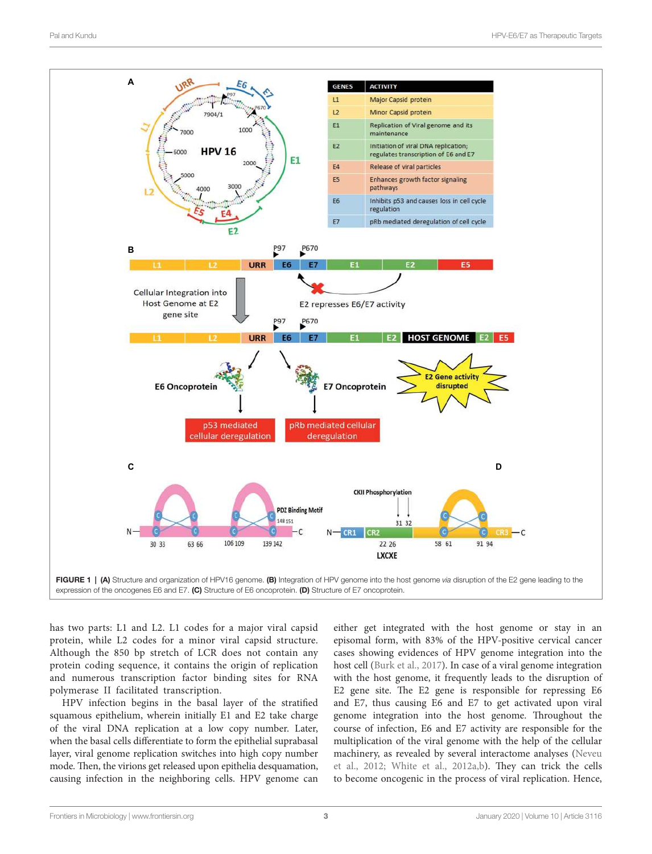

expression of the oncogenes E6 and E7. (C) Structure of E6 oncoprotein. (D) Structure of E7 oncoprotein.

has two parts: L1 and L2. L1 codes for a major viral capsid protein, while L2 codes for a minor viral capsid structure. Although the 850 bp stretch of LCR does not contain any protein coding sequence, it contains the origin of replication and numerous transcription factor binding sites for RNA polymerase II facilitated transcription.

HPV infection begins in the basal layer of the stratified squamous epithelium, wherein initially E1 and E2 take charge of the viral DNA replication at a low copy number. Later, when the basal cells differentiate to form the epithelial suprabasal layer, viral genome replication switches into high copy number mode. Then, the virions get released upon epithelia desquamation, causing infection in the neighboring cells. HPV genome can either get integrated with the host genome or stay in an episomal form, with 83% of the HPV-positive cervical cancer cases showing evidences of HPV genome integration into the host cell (Burk et al., 2017). In case of a viral genome integration with the host genome, it frequently leads to the disruption of E2 gene site. The E2 gene is responsible for repressing E6 and E7, thus causing E6 and E7 to get activated upon viral genome integration into the host genome. Throughout the course of infection, E6 and E7 activity are responsible for the multiplication of the viral genome with the help of the cellular machinery, as revealed by several interactome analyses (Neveu et al., 2012; White et al., 2012a,b). They can trick the cells to become oncogenic in the process of viral replication. Hence,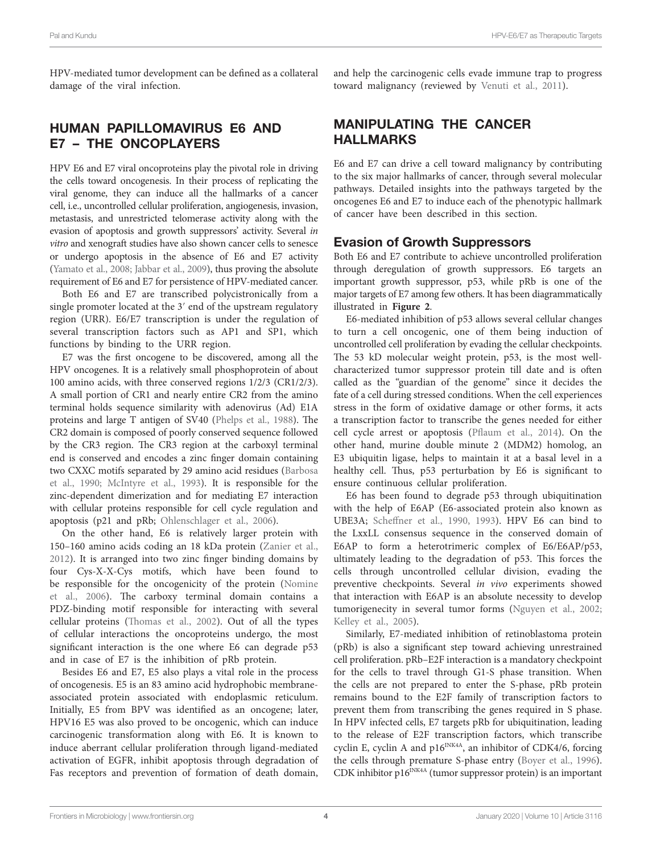HPV-mediated tumor development can be defined as a collateral damage of the viral infection.

### HUMAN PAPILLOMAVIRUS E6 AND E7 – THE ONCOPLAYERS

HPV E6 and E7 viral oncoproteins play the pivotal role in driving the cells toward oncogenesis. In their process of replicating the viral genome, they can induce all the hallmarks of a cancer cell, i.e., uncontrolled cellular proliferation, angiogenesis, invasion, metastasis, and unrestricted telomerase activity along with the evasion of apoptosis and growth suppressors' activity. Several in vitro and xenograft studies have also shown cancer cells to senesce or undergo apoptosis in the absence of E6 and E7 activity (Yamato et al., 2008; Jabbar et al., 2009), thus proving the absolute requirement of E6 and E7 for persistence of HPV-mediated cancer.

Both E6 and E7 are transcribed polycistronically from a single promoter located at the 3′ end of the upstream regulatory region (URR). E6/E7 transcription is under the regulation of several transcription factors such as AP1 and SP1, which functions by binding to the URR region.

E7 was the first oncogene to be discovered, among all the HPV oncogenes. It is a relatively small phosphoprotein of about 100 amino acids, with three conserved regions 1/2/3 (CR1/2/3). A small portion of CR1 and nearly entire CR2 from the amino terminal holds sequence similarity with adenovirus (Ad) E1A proteins and large T antigen of SV40 (Phelps et al., 1988). The CR2 domain is composed of poorly conserved sequence followed by the CR3 region. The CR3 region at the carboxyl terminal end is conserved and encodes a zinc finger domain containing two CXXC motifs separated by 29 amino acid residues (Barbosa et al., 1990; McIntyre et al., 1993). It is responsible for the zinc-dependent dimerization and for mediating E7 interaction with cellular proteins responsible for cell cycle regulation and apoptosis (p21 and pRb; Ohlenschlager et al., 2006).

On the other hand, E6 is relatively larger protein with 150–160 amino acids coding an 18 kDa protein (Zanier et al., 2012). It is arranged into two zinc finger binding domains by four Cys-X-X-Cys motifs, which have been found to be responsible for the oncogenicity of the protein (Nomine et al., 2006). The carboxy terminal domain contains a PDZ-binding motif responsible for interacting with several cellular proteins (Thomas et al., 2002). Out of all the types of cellular interactions the oncoproteins undergo, the most significant interaction is the one where E6 can degrade p53 and in case of E7 is the inhibition of pRb protein.

Besides E6 and E7, E5 also plays a vital role in the process of oncogenesis. E5 is an 83 amino acid hydrophobic membraneassociated protein associated with endoplasmic reticulum. Initially, E5 from BPV was identified as an oncogene; later, HPV16 E5 was also proved to be oncogenic, which can induce carcinogenic transformation along with E6. It is known to induce aberrant cellular proliferation through ligand-mediated activation of EGFR, inhibit apoptosis through degradation of Fas receptors and prevention of formation of death domain, and help the carcinogenic cells evade immune trap to progress toward malignancy (reviewed by Venuti et al., 2011).

### MANIPULATING THE CANCER HALLMARKS

E6 and E7 can drive a cell toward malignancy by contributing to the six major hallmarks of cancer, through several molecular pathways. Detailed insights into the pathways targeted by the oncogenes E6 and E7 to induce each of the phenotypic hallmark of cancer have been described in this section.

### Evasion of Growth Suppressors

Both E6 and E7 contribute to achieve uncontrolled proliferation through deregulation of growth suppressors. E6 targets an important growth suppressor, p53, while pRb is one of the major targets of E7 among few others. It has been diagrammatically illustrated in **Figure 2**.

E6-mediated inhibition of p53 allows several cellular changes to turn a cell oncogenic, one of them being induction of uncontrolled cell proliferation by evading the cellular checkpoints. The 53 kD molecular weight protein, p53, is the most wellcharacterized tumor suppressor protein till date and is often called as the "guardian of the genome" since it decides the fate of a cell during stressed conditions. When the cell experiences stress in the form of oxidative damage or other forms, it acts a transcription factor to transcribe the genes needed for either cell cycle arrest or apoptosis (Pflaum et al., 2014). On the other hand, murine double minute 2 (MDM2) homolog, an E3 ubiquitin ligase, helps to maintain it at a basal level in a healthy cell. Thus, p53 perturbation by E6 is significant to ensure continuous cellular proliferation.

E6 has been found to degrade p53 through ubiquitination with the help of E6AP (E6-associated protein also known as UBE3A; Scheffner et al., 1990, 1993). HPV E6 can bind to the LxxLL consensus sequence in the conserved domain of E6AP to form a heterotrimeric complex of E6/E6AP/p53, ultimately leading to the degradation of p53. This forces the cells through uncontrolled cellular division, evading the preventive checkpoints. Several in vivo experiments showed that interaction with E6AP is an absolute necessity to develop tumorigenecity in several tumor forms (Nguyen et al., 2002; Kelley et al., 2005).

Similarly, E7-mediated inhibition of retinoblastoma protein (pRb) is also a significant step toward achieving unrestrained cell proliferation. pRb–E2F interaction is a mandatory checkpoint for the cells to travel through G1-S phase transition. When the cells are not prepared to enter the S-phase, pRb protein remains bound to the E2F family of transcription factors to prevent them from transcribing the genes required in S phase. In HPV infected cells, E7 targets pRb for ubiquitination, leading to the release of E2F transcription factors, which transcribe cyclin E, cyclin A and p16<sup>INK4A</sup>, an inhibitor of CDK4/6, forcing the cells through premature S-phase entry (Boyer et al., 1996). CDK inhibitor p16<sup>INK4A</sup> (tumor suppressor protein) is an important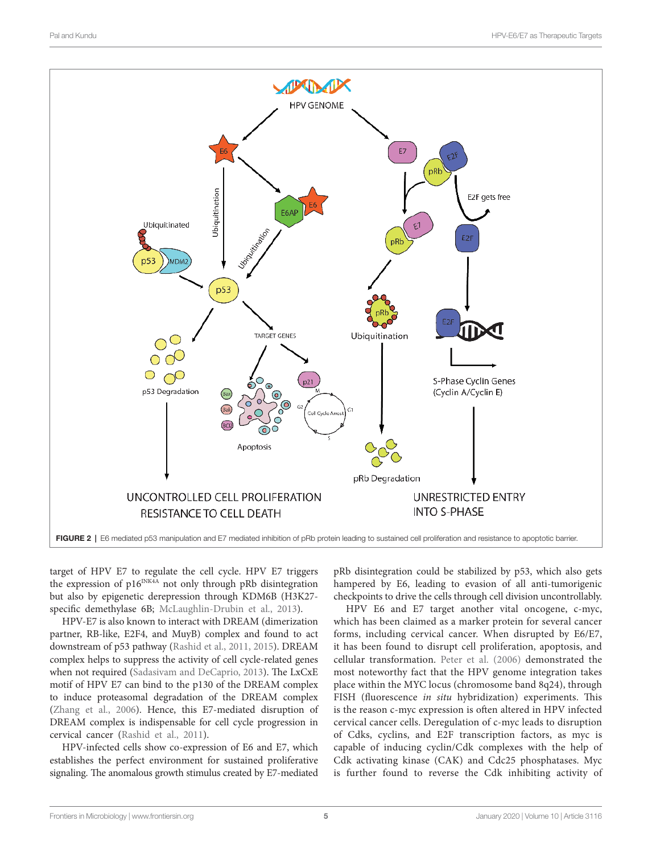

target of HPV E7 to regulate the cell cycle. HPV E7 triggers the expression of  $p16^{INK4A}$  not only through pRb disintegration but also by epigenetic derepression through KDM6B (H3K27 specific demethylase 6B; McLaughlin-Drubin et al., 2013).

HPV-E7 is also known to interact with DREAM (dimerization partner, RB-like, E2F4, and MuyB) complex and found to act downstream of p53 pathway (Rashid et al., 2011, 2015). DREAM complex helps to suppress the activity of cell cycle-related genes when not required (Sadasivam and DeCaprio, 2013). The LxCxE motif of HPV E7 can bind to the p130 of the DREAM complex to induce proteasomal degradation of the DREAM complex (Zhang et al., 2006). Hence, this E7-mediated disruption of DREAM complex is indispensable for cell cycle progression in cervical cancer (Rashid et al., 2011).

HPV-infected cells show co-expression of E6 and E7, which establishes the perfect environment for sustained proliferative signaling. The anomalous growth stimulus created by E7-mediated pRb disintegration could be stabilized by p53, which also gets hampered by E6, leading to evasion of all anti-tumorigenic checkpoints to drive the cells through cell division uncontrollably.

HPV E6 and E7 target another vital oncogene, c-myc, which has been claimed as a marker protein for several cancer forms, including cervical cancer. When disrupted by E6/E7, it has been found to disrupt cell proliferation, apoptosis, and cellular transformation. Peter et al. (2006) demonstrated the most noteworthy fact that the HPV genome integration takes place within the MYC locus (chromosome band 8q24), through FISH (fluorescence in situ hybridization) experiments. This is the reason c-myc expression is often altered in HPV infected cervical cancer cells. Deregulation of c-myc leads to disruption of Cdks, cyclins, and E2F transcription factors, as myc is capable of inducing cyclin/Cdk complexes with the help of Cdk activating kinase (CAK) and Cdc25 phosphatases. Myc is further found to reverse the Cdk inhibiting activity of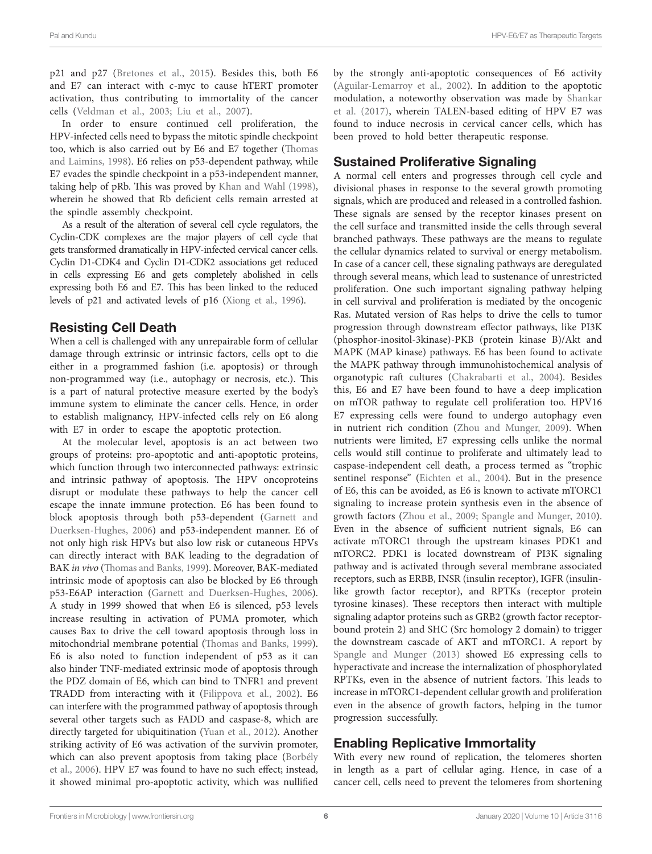p21 and p27 (Bretones et al., 2015). Besides this, both E6 and E7 can interact with c-myc to cause hTERT promoter activation, thus contributing to immortality of the cancer cells (Veldman et al., 2003; Liu et al., 2007).

In order to ensure continued cell proliferation, the HPV-infected cells need to bypass the mitotic spindle checkpoint too, which is also carried out by E6 and E7 together (Thomas and Laimins, 1998). E6 relies on p53-dependent pathway, while E7 evades the spindle checkpoint in a p53-independent manner, taking help of pRb. This was proved by Khan and Wahl (1998), wherein he showed that Rb deficient cells remain arrested at the spindle assembly checkpoint.

As a result of the alteration of several cell cycle regulators, the Cyclin-CDK complexes are the major players of cell cycle that gets transformed dramatically in HPV-infected cervical cancer cells. Cyclin D1-CDK4 and Cyclin D1-CDK2 associations get reduced in cells expressing E6 and gets completely abolished in cells expressing both E6 and E7. This has been linked to the reduced levels of p21 and activated levels of p16 (Xiong et al., 1996).

### Resisting Cell Death

When a cell is challenged with any unrepairable form of cellular damage through extrinsic or intrinsic factors, cells opt to die either in a programmed fashion (i.e. apoptosis) or through non-programmed way (i.e., autophagy or necrosis, etc.). This is a part of natural protective measure exerted by the body's immune system to eliminate the cancer cells. Hence, in order to establish malignancy, HPV-infected cells rely on E6 along with E7 in order to escape the apoptotic protection.

At the molecular level, apoptosis is an act between two groups of proteins: pro-apoptotic and anti-apoptotic proteins, which function through two interconnected pathways: extrinsic and intrinsic pathway of apoptosis. The HPV oncoproteins disrupt or modulate these pathways to help the cancer cell escape the innate immune protection. E6 has been found to block apoptosis through both p53-dependent (Garnett and Duerksen-Hughes, 2006) and p53-independent manner. E6 of not only high risk HPVs but also low risk or cutaneous HPVs can directly interact with BAK leading to the degradation of BAK in vivo (Thomas and Banks, 1999). Moreover, BAK-mediated intrinsic mode of apoptosis can also be blocked by E6 through p53-E6AP interaction (Garnett and Duerksen-Hughes, 2006). A study in 1999 showed that when E6 is silenced, p53 levels increase resulting in activation of PUMA promoter, which causes Bax to drive the cell toward apoptosis through loss in mitochondrial membrane potential (Thomas and Banks, 1999). E6 is also noted to function independent of p53 as it can also hinder TNF-mediated extrinsic mode of apoptosis through the PDZ domain of E6, which can bind to TNFR1 and prevent TRADD from interacting with it (Filippova et al., 2002). E6 can interfere with the programmed pathway of apoptosis through several other targets such as FADD and caspase-8, which are directly targeted for ubiquitination (Yuan et al., 2012). Another striking activity of E6 was activation of the survivin promoter, which can also prevent apoptosis from taking place (Borbély et al., 2006). HPV E7 was found to have no such effect; instead, it showed minimal pro-apoptotic activity, which was nullified

by the strongly anti-apoptotic consequences of E6 activity (Aguilar-Lemarroy et al., 2002). In addition to the apoptotic modulation, a noteworthy observation was made by Shankar et al. (2017), wherein TALEN-based editing of HPV E7 was found to induce necrosis in cervical cancer cells, which has been proved to hold better therapeutic response.

### Sustained Proliferative Signaling

A normal cell enters and progresses through cell cycle and divisional phases in response to the several growth promoting signals, which are produced and released in a controlled fashion. These signals are sensed by the receptor kinases present on the cell surface and transmitted inside the cells through several branched pathways. These pathways are the means to regulate the cellular dynamics related to survival or energy metabolism. In case of a cancer cell, these signaling pathways are deregulated through several means, which lead to sustenance of unrestricted proliferation. One such important signaling pathway helping in cell survival and proliferation is mediated by the oncogenic Ras. Mutated version of Ras helps to drive the cells to tumor progression through downstream effector pathways, like PI3K (phosphor-inositol-3kinase)-PKB (protein kinase B)/Akt and MAPK (MAP kinase) pathways. E6 has been found to activate the MAPK pathway through immunohistochemical analysis of organotypic raft cultures (Chakrabarti et al., 2004). Besides this, E6 and E7 have been found to have a deep implication on mTOR pathway to regulate cell proliferation too. HPV16 E7 expressing cells were found to undergo autophagy even in nutrient rich condition (Zhou and Munger, 2009). When nutrients were limited, E7 expressing cells unlike the normal cells would still continue to proliferate and ultimately lead to caspase-independent cell death, a process termed as "trophic sentinel response" (Eichten et al., 2004). But in the presence of E6, this can be avoided, as E6 is known to activate mTORC1 signaling to increase protein synthesis even in the absence of growth factors (Zhou et al., 2009; Spangle and Munger, 2010). Even in the absence of sufficient nutrient signals, E6 can activate mTORC1 through the upstream kinases PDK1 and mTORC2. PDK1 is located downstream of PI3K signaling pathway and is activated through several membrane associated receptors, such as ERBB, INSR (insulin receptor), IGFR (insulinlike growth factor receptor), and RPTKs (receptor protein tyrosine kinases). These receptors then interact with multiple signaling adaptor proteins such as GRB2 (growth factor receptorbound protein 2) and SHC (Src homology 2 domain) to trigger the downstream cascade of AKT and mTORC1. A report by Spangle and Munger (2013) showed E6 expressing cells to hyperactivate and increase the internalization of phosphorylated RPTKs, even in the absence of nutrient factors. This leads to increase in mTORC1-dependent cellular growth and proliferation even in the absence of growth factors, helping in the tumor progression successfully.

### Enabling Replicative Immortality

With every new round of replication, the telomeres shorten in length as a part of cellular aging. Hence, in case of a cancer cell, cells need to prevent the telomeres from shortening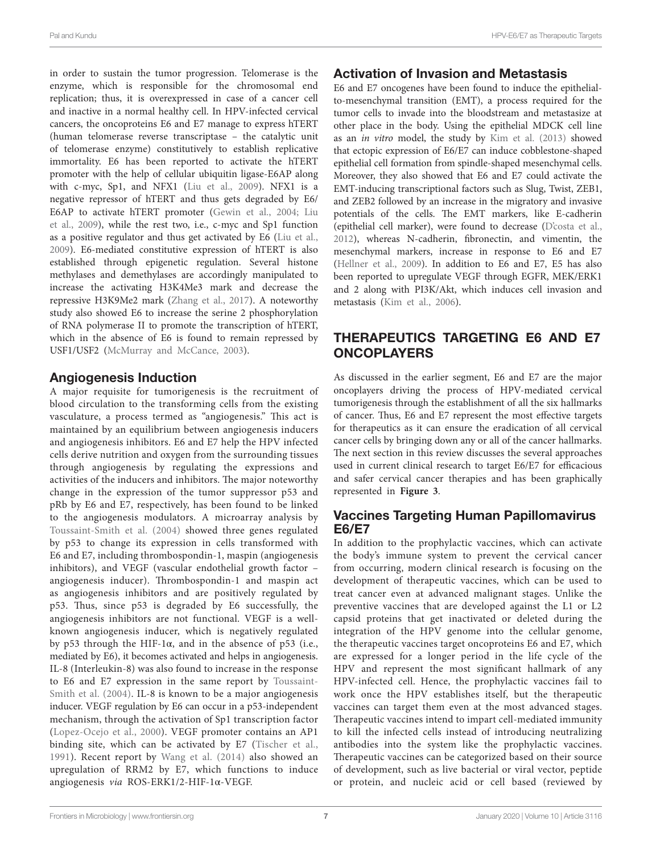in order to sustain the tumor progression. Telomerase is the enzyme, which is responsible for the chromosomal end replication; thus, it is overexpressed in case of a cancer cell and inactive in a normal healthy cell. In HPV-infected cervical cancers, the oncoproteins E6 and E7 manage to express hTERT (human telomerase reverse transcriptase – the catalytic unit of telomerase enzyme) constitutively to establish replicative immortality. E6 has been reported to activate the hTERT promoter with the help of cellular ubiquitin ligase-E6AP along with c-myc, Sp1, and NFX1 (Liu et al., 2009). NFX1 is a negative repressor of hTERT and thus gets degraded by E6/ E6AP to activate hTERT promoter (Gewin et al., 2004; Liu et al., 2009), while the rest two, i.e., c-myc and Sp1 function as a positive regulator and thus get activated by E6 (Liu et al., 2009). E6-mediated constitutive expression of hTERT is also established through epigenetic regulation. Several histone methylases and demethylases are accordingly manipulated to increase the activating H3K4Me3 mark and decrease the repressive H3K9Me2 mark (Zhang et al., 2017). A noteworthy study also showed E6 to increase the serine 2 phosphorylation of RNA polymerase II to promote the transcription of hTERT, which in the absence of E6 is found to remain repressed by USF1/USF2 (McMurray and McCance, 2003).

### Angiogenesis Induction

A major requisite for tumorigenesis is the recruitment of blood circulation to the transforming cells from the existing vasculature, a process termed as "angiogenesis." This act is maintained by an equilibrium between angiogenesis inducers and angiogenesis inhibitors. E6 and E7 help the HPV infected cells derive nutrition and oxygen from the surrounding tissues through angiogenesis by regulating the expressions and activities of the inducers and inhibitors. The major noteworthy change in the expression of the tumor suppressor p53 and pRb by E6 and E7, respectively, has been found to be linked to the angiogenesis modulators. A microarray analysis by Toussaint-Smith et al. (2004) showed three genes regulated by p53 to change its expression in cells transformed with E6 and E7, including thrombospondin-1, maspin (angiogenesis inhibitors), and VEGF (vascular endothelial growth factor – angiogenesis inducer). Thrombospondin-1 and maspin act as angiogenesis inhibitors and are positively regulated by p53. Thus, since p53 is degraded by E6 successfully, the angiogenesis inhibitors are not functional. VEGF is a wellknown angiogenesis inducer, which is negatively regulated by p53 through the HIF-1 $\alpha$ , and in the absence of p53 (i.e., mediated by E6), it becomes activated and helps in angiogenesis. IL-8 (Interleukin-8) was also found to increase in the response to E6 and E7 expression in the same report by Toussaint-Smith et al. (2004). IL-8 is known to be a major angiogenesis inducer. VEGF regulation by E6 can occur in a p53-independent mechanism, through the activation of Sp1 transcription factor (Lopez-Ocejo et al., 2000). VEGF promoter contains an AP1 binding site, which can be activated by E7 (Tischer et al., 1991). Recent report by Wang et al. (2014) also showed an upregulation of RRM2 by E7, which functions to induce angiogenesis via ROS-ERK1/2-HIF-1α-VEGF.

### Activation of Invasion and Metastasis

E6 and E7 oncogenes have been found to induce the epithelialto-mesenchymal transition (EMT), a process required for the tumor cells to invade into the bloodstream and metastasize at other place in the body. Using the epithelial MDCK cell line as an in vitro model, the study by Kim et al. (2013) showed that ectopic expression of E6/E7 can induce cobblestone-shaped epithelial cell formation from spindle-shaped mesenchymal cells. Moreover, they also showed that E6 and E7 could activate the EMT-inducing transcriptional factors such as Slug, Twist, ZEB1, and ZEB2 followed by an increase in the migratory and invasive potentials of the cells. The EMT markers, like E-cadherin (epithelial cell marker), were found to decrease (D'costa et al., 2012), whereas N-cadherin, fibronectin, and vimentin, the mesenchymal markers, increase in response to E6 and E7 (Hellner et al., 2009). In addition to E6 and E7, E5 has also been reported to upregulate VEGF through EGFR, MEK/ERK1 and 2 along with PI3K/Akt, which induces cell invasion and metastasis (Kim et al., 2006).

## THERAPEUTICS TARGETING E6 AND E7 **ONCOPLAYERS**

As discussed in the earlier segment, E6 and E7 are the major oncoplayers driving the process of HPV-mediated cervical tumorigenesis through the establishment of all the six hallmarks of cancer. Thus, E6 and E7 represent the most effective targets for therapeutics as it can ensure the eradication of all cervical cancer cells by bringing down any or all of the cancer hallmarks. The next section in this review discusses the several approaches used in current clinical research to target E6/E7 for efficacious and safer cervical cancer therapies and has been graphically represented in **Figure 3**.

### Vaccines Targeting Human Papillomavirus E6/E7

In addition to the prophylactic vaccines, which can activate the body's immune system to prevent the cervical cancer from occurring, modern clinical research is focusing on the development of therapeutic vaccines, which can be used to treat cancer even at advanced malignant stages. Unlike the preventive vaccines that are developed against the L1 or L2 capsid proteins that get inactivated or deleted during the integration of the HPV genome into the cellular genome, the therapeutic vaccines target oncoproteins E6 and E7, which are expressed for a longer period in the life cycle of the HPV and represent the most significant hallmark of any HPV-infected cell. Hence, the prophylactic vaccines fail to work once the HPV establishes itself, but the therapeutic vaccines can target them even at the most advanced stages. Therapeutic vaccines intend to impart cell-mediated immunity to kill the infected cells instead of introducing neutralizing antibodies into the system like the prophylactic vaccines. Therapeutic vaccines can be categorized based on their source of development, such as live bacterial or viral vector, peptide or protein, and nucleic acid or cell based (reviewed by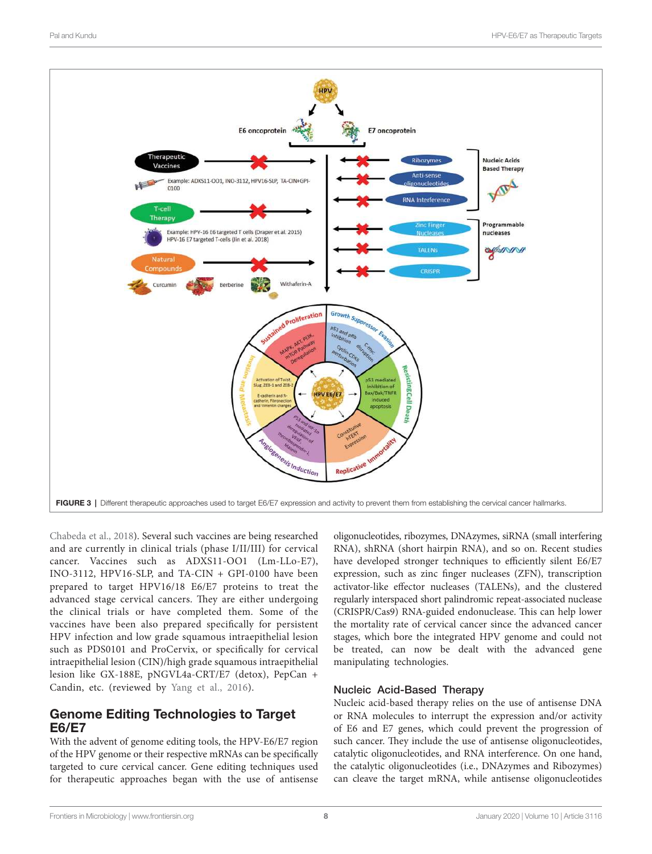

Chabeda et al., 2018). Several such vaccines are being researched and are currently in clinical trials (phase I/II/III) for cervical cancer. Vaccines such as ADXS11-OO1 (Lm-LLo-E7), INO-3112, HPV16-SLP, and TA-CIN  $+$  GPI-0100 have been prepared to target HPV16/18 E6/E7 proteins to treat the advanced stage cervical cancers. They are either undergoing the clinical trials or have completed them. Some of the vaccines have been also prepared specifically for persistent HPV infection and low grade squamous intraepithelial lesion such as PDS0101 and ProCervix, or specifically for cervical intraepithelial lesion (CIN)/high grade squamous intraepithelial lesion like GX-188E, pNGVL4a-CRT/E7 (detox), PepCan + Candin, etc. (reviewed by Yang et al., 2016).

### Genome Editing Technologies to Target E6/E7

With the advent of genome editing tools, the HPV-E6/E7 region of the HPV genome or their respective mRNAs can be specifically targeted to cure cervical cancer. Gene editing techniques used for therapeutic approaches began with the use of antisense oligonucleotides, ribozymes, DNAzymes, siRNA (small interfering RNA), shRNA (short hairpin RNA), and so on. Recent studies have developed stronger techniques to efficiently silent E6/E7 expression, such as zinc finger nucleases (ZFN), transcription activator-like effector nucleases (TALENs), and the clustered regularly interspaced short palindromic repeat-associated nuclease (CRISPR/Cas9) RNA-guided endonuclease. This can help lower the mortality rate of cervical cancer since the advanced cancer stages, which bore the integrated HPV genome and could not be treated, can now be dealt with the advanced gene manipulating technologies.

#### Nucleic Acid-Based Therapy

Nucleic acid-based therapy relies on the use of antisense DNA or RNA molecules to interrupt the expression and/or activity of E6 and E7 genes, which could prevent the progression of such cancer. They include the use of antisense oligonucleotides, catalytic oligonucleotides, and RNA interference. On one hand, the catalytic oligonucleotides (i.e., DNAzymes and Ribozymes) can cleave the target mRNA, while antisense oligonucleotides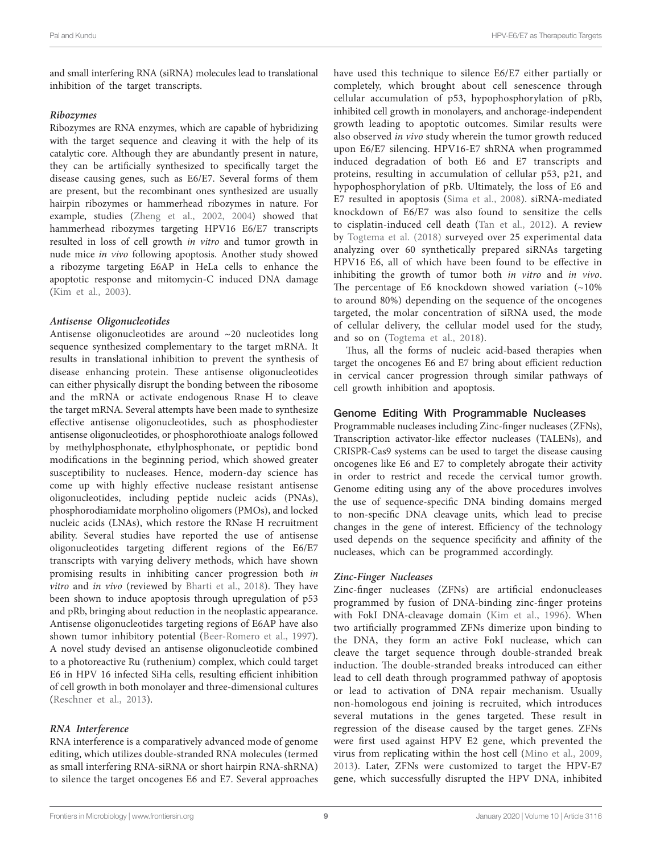and small interfering RNA (siRNA) molecules lead to translational inhibition of the target transcripts.

#### **Ribozymes**

Ribozymes are RNA enzymes, which are capable of hybridizing with the target sequence and cleaving it with the help of its catalytic core. Although they are abundantly present in nature, they can be artificially synthesized to specifically target the disease causing genes, such as E6/E7. Several forms of them are present, but the recombinant ones synthesized are usually hairpin ribozymes or hammerhead ribozymes in nature. For example, studies (Zheng et al., 2002, 2004) showed that hammerhead ribozymes targeting HPV16 E6/E7 transcripts resulted in loss of cell growth in vitro and tumor growth in nude mice in vivo following apoptosis. Another study showed a ribozyme targeting E6AP in HeLa cells to enhance the apoptotic response and mitomycin-C induced DNA damage (Kim et al., 2003).

#### **Antisense Oligonucleotides**

Antisense oligonucleotides are around ~20 nucleotides long sequence synthesized complementary to the target mRNA. It results in translational inhibition to prevent the synthesis of disease enhancing protein. These antisense oligonucleotides can either physically disrupt the bonding between the ribosome and the mRNA or activate endogenous Rnase H to cleave the target mRNA. Several attempts have been made to synthesize effective antisense oligonucleotides, such as phosphodiester antisense oligonucleotides, or phosphorothioate analogs followed by methylphosphonate, ethylphosphonate, or peptidic bond modifications in the beginning period, which showed greater susceptibility to nucleases. Hence, modern-day science has come up with highly effective nuclease resistant antisense oligonucleotides, including peptide nucleic acids (PNAs), phosphorodiamidate morpholino oligomers (PMOs), and locked nucleic acids (LNAs), which restore the RNase H recruitment ability. Several studies have reported the use of antisense oligonucleotides targeting different regions of the E6/E7 transcripts with varying delivery methods, which have shown promising results in inhibiting cancer progression both in vitro and in vivo (reviewed by Bharti et al., 2018). They have been shown to induce apoptosis through upregulation of p53 and pRb, bringing about reduction in the neoplastic appearance. Antisense oligonucleotides targeting regions of E6AP have also shown tumor inhibitory potential (Beer-Romero et al., 1997). A novel study devised an antisense oligonucleotide combined to a photoreactive Ru (ruthenium) complex, which could target E6 in HPV 16 infected SiHa cells, resulting efficient inhibition of cell growth in both monolayer and three-dimensional cultures (Reschner et al., 2013).

#### **RNA Interference**

RNA interference is a comparatively advanced mode of genome editing, which utilizes double-stranded RNA molecules (termed as small interfering RNA-siRNA or short hairpin RNA-shRNA) to silence the target oncogenes E6 and E7. Several approaches have used this technique to silence E6/E7 either partially or completely, which brought about cell senescence through cellular accumulation of p53, hypophosphorylation of pRb, inhibited cell growth in monolayers, and anchorage-independent growth leading to apoptotic outcomes. Similar results were also observed in vivo study wherein the tumor growth reduced upon E6/E7 silencing. HPV16-E7 shRNA when programmed induced degradation of both E6 and E7 transcripts and proteins, resulting in accumulation of cellular p53, p21, and hypophosphorylation of pRb. Ultimately, the loss of E6 and E7 resulted in apoptosis (Sima et al., 2008). siRNA-mediated knockdown of E6/E7 was also found to sensitize the cells to cisplatin-induced cell death (Tan et al., 2012). A review by Togtema et al. (2018) surveyed over 25 experimental data analyzing over 60 synthetically prepared siRNAs targeting HPV16 E6, all of which have been found to be effective in inhibiting the growth of tumor both in vitro and in vivo. The percentage of E6 knockdown showed variation  $(-10\%$ to around 80%) depending on the sequence of the oncogenes targeted, the molar concentration of siRNA used, the mode of cellular delivery, the cellular model used for the study, and so on (Togtema et al., 2018).

Thus, all the forms of nucleic acid-based therapies when target the oncogenes E6 and E7 bring about efficient reduction in cervical cancer progression through similar pathways of cell growth inhibition and apoptosis.

#### Genome Editing With Programmable Nucleases

Programmable nucleases including Zinc-finger nucleases (ZFNs), Transcription activator-like effector nucleases (TALENs), and CRISPR-Cas9 systems can be used to target the disease causing oncogenes like E6 and E7 to completely abrogate their activity in order to restrict and recede the cervical tumor growth. Genome editing using any of the above procedures involves the use of sequence-specific DNA binding domains merged to non-specific DNA cleavage units, which lead to precise changes in the gene of interest. Efficiency of the technology used depends on the sequence specificity and affinity of the nucleases, which can be programmed accordingly.

#### **Zinc-Finger Nucleases**

Zinc-finger nucleases (ZFNs) are artificial endonucleases programmed by fusion of DNA-binding zinc-finger proteins with FokI DNA-cleavage domain (Kim et al., 1996). When two artificially programmed ZFNs dimerize upon binding to the DNA, they form an active FokI nuclease, which can cleave the target sequence through double-stranded break induction. The double-stranded breaks introduced can either lead to cell death through programmed pathway of apoptosis or lead to activation of DNA repair mechanism. Usually non-homologous end joining is recruited, which introduces several mutations in the genes targeted. These result in regression of the disease caused by the target genes. ZFNs were first used against HPV E2 gene, which prevented the virus from replicating within the host cell (Mino et al., 2009, 2013). Later, ZFNs were customized to target the HPV-E7 gene, which successfully disrupted the HPV DNA, inhibited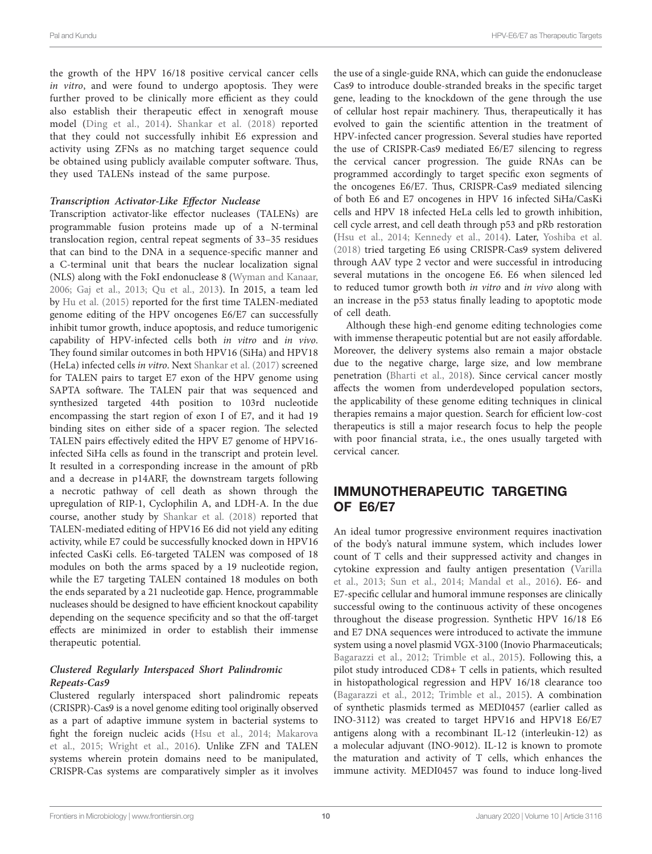the growth of the HPV 16/18 positive cervical cancer cells in vitro, and were found to undergo apoptosis. They were further proved to be clinically more efficient as they could also establish their therapeutic effect in xenograft mouse model (Ding et al., 2014). Shankar et al. (2018) reported that they could not successfully inhibit E6 expression and activity using ZFNs as no matching target sequence could be obtained using publicly available computer software. Thus, they used TALENs instead of the same purpose.

#### **Transcription Activator-Like Effector Nuclease**

Transcription activator-like effector nucleases (TALENs) are programmable fusion proteins made up of a N-terminal translocation region, central repeat segments of 33–35 residues that can bind to the DNA in a sequence-specific manner and a C-terminal unit that bears the nuclear localization signal (NLS) along with the FokI endonuclease 8 (Wyman and Kanaar, 2006; Gaj et al., 2013; Qu et al., 2013). In 2015, a team led by Hu et al. (2015) reported for the first time TALEN-mediated genome editing of the HPV oncogenes E6/E7 can successfully inhibit tumor growth, induce apoptosis, and reduce tumorigenic capability of HPV-infected cells both in vitro and in vivo. They found similar outcomes in both HPV16 (SiHa) and HPV18 (HeLa) infected cells in vitro. Next Shankar et al. (2017) screened for TALEN pairs to target E7 exon of the HPV genome using SAPTA software. The TALEN pair that was sequenced and synthesized targeted 44th position to 103rd nucleotide encompassing the start region of exon I of E7, and it had 19 binding sites on either side of a spacer region. The selected TALEN pairs effectively edited the HPV E7 genome of HPV16 infected SiHa cells as found in the transcript and protein level. It resulted in a corresponding increase in the amount of pRb and a decrease in p14ARF, the downstream targets following a necrotic pathway of cell death as shown through the upregulation of RIP-1, Cyclophilin A, and LDH-A. In the due course, another study by Shankar et al. (2018) reported that TALEN-mediated editing of HPV16 E6 did not yield any editing activity, while E7 could be successfully knocked down in HPV16 infected CasKi cells. E6-targeted TALEN was composed of 18 modules on both the arms spaced by a 19 nucleotide region, while the E7 targeting TALEN contained 18 modules on both the ends separated by a 21 nucleotide gap. Hence, programmable nucleases should be designed to have efficient knockout capability depending on the sequence specificity and so that the off-target effects are minimized in order to establish their immense therapeutic potential.

#### **Clustered Regularly Interspaced Short Palindromic Repeats-Cas9**

Clustered regularly interspaced short palindromic repeats (CRISPR)-Cas9 is a novel genome editing tool originally observed as a part of adaptive immune system in bacterial systems to fight the foreign nucleic acids (Hsu et al., 2014; Makarova et al., 2015; Wright et al., 2016). Unlike ZFN and TALEN systems wherein protein domains need to be manipulated, CRISPR-Cas systems are comparatively simpler as it involves

the use of a single-guide RNA, which can guide the endonuclease Cas9 to introduce double-stranded breaks in the specific target gene, leading to the knockdown of the gene through the use of cellular host repair machinery. Thus, therapeutically it has evolved to gain the scientific attention in the treatment of HPV-infected cancer progression. Several studies have reported the use of CRISPR-Cas9 mediated E6/E7 silencing to regress the cervical cancer progression. The guide RNAs can be programmed accordingly to target specific exon segments of the oncogenes E6/E7. Thus, CRISPR-Cas9 mediated silencing of both E6 and E7 oncogenes in HPV 16 infected SiHa/CasKi cells and HPV 18 infected HeLa cells led to growth inhibition, cell cycle arrest, and cell death through p53 and pRb restoration (Hsu et al., 2014; Kennedy et al., 2014). Later, Yoshiba et al. (2018) tried targeting E6 using CRISPR-Cas9 system delivered through AAV type 2 vector and were successful in introducing several mutations in the oncogene E6. E6 when silenced led to reduced tumor growth both in vitro and in vivo along with an increase in the p53 status finally leading to apoptotic mode of cell death.

Although these high-end genome editing technologies come with immense therapeutic potential but are not easily affordable. Moreover, the delivery systems also remain a major obstacle due to the negative charge, large size, and low membrane penetration (Bharti et al., 2018). Since cervical cancer mostly affects the women from underdeveloped population sectors, the applicability of these genome editing techniques in clinical therapies remains a major question. Search for efficient low-cost therapeutics is still a major research focus to help the people with poor financial strata, i.e., the ones usually targeted with cervical cancer.

### IMMUNOTHERAPEUTIC TARGETING OF E6/E7

An ideal tumor progressive environment requires inactivation of the body's natural immune system, which includes lower count of T cells and their suppressed activity and changes in cytokine expression and faulty antigen presentation (Varilla et al., 2013; Sun et al., 2014; Mandal et al., 2016). E6- and E7-specific cellular and humoral immune responses are clinically successful owing to the continuous activity of these oncogenes throughout the disease progression. Synthetic HPV 16/18 E6 and E7 DNA sequences were introduced to activate the immune system using a novel plasmid VGX-3100 (Inovio Pharmaceuticals; Bagarazzi et al., 2012; Trimble et al., 2015). Following this, a pilot study introduced CD8+ T cells in patients, which resulted in histopathological regression and HPV 16/18 clearance too (Bagarazzi et al., 2012; Trimble et al., 2015). A combination of synthetic plasmids termed as MEDI0457 (earlier called as INO-3112) was created to target HPV16 and HPV18 E6/E7 antigens along with a recombinant IL-12 (interleukin-12) as a molecular adjuvant (INO-9012). IL-12 is known to promote the maturation and activity of T cells, which enhances the immune activity. MEDI0457 was found to induce long-lived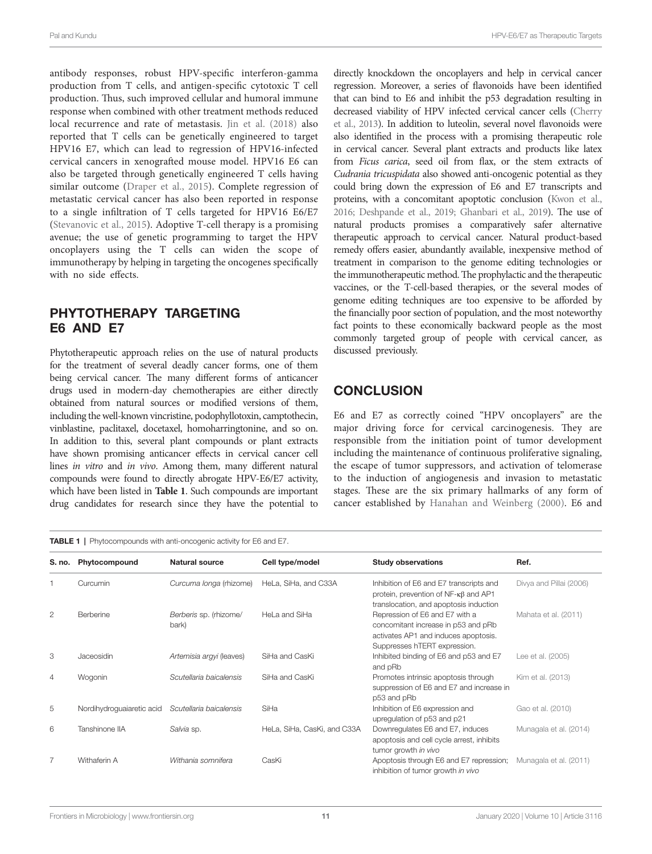antibody responses, robust HPV-specific interferon-gamma production from T cells, and antigen-specific cytotoxic T cell production. Thus, such improved cellular and humoral immune response when combined with other treatment methods reduced local recurrence and rate of metastasis. Jin et al. (2018) also reported that T cells can be genetically engineered to target HPV16 E7, which can lead to regression of HPV16-infected cervical cancers in xenografted mouse model. HPV16 E6 can also be targeted through genetically engineered T cells having similar outcome (Draper et al., 2015). Complete regression of metastatic cervical cancer has also been reported in response to a single infiltration of T cells targeted for HPV16 E6/E7 (Stevanovic et al., 2015). Adoptive T-cell therapy is a promising avenue; the use of genetic programming to target the HPV oncoplayers using the T cells can widen the scope of immunotherapy by helping in targeting the oncogenes specifically with no side effects.

### PHYTOTHERAPY TARGETING E6 AND E7

Phytotherapeutic approach relies on the use of natural products for the treatment of several deadly cancer forms, one of them being cervical cancer. The many different forms of anticancer drugs used in modern-day chemotherapies are either directly obtained from natural sources or modified versions of them, including the well-known vincristine, podophyllotoxin, camptothecin, vinblastine, paclitaxel, docetaxel, homoharringtonine, and so on. In addition to this, several plant compounds or plant extracts have shown promising anticancer effects in cervical cancer cell lines in vitro and in vivo. Among them, many different natural compounds were found to directly abrogate HPV-E6/E7 activity, which have been listed in **Table 1**. Such compounds are important drug candidates for research since they have the potential to directly knockdown the oncoplayers and help in cervical cancer regression. Moreover, a series of flavonoids have been identified that can bind to E6 and inhibit the p53 degradation resulting in decreased viability of HPV infected cervical cancer cells (Cherry et al., 2013). In addition to luteolin, several novel flavonoids were also identified in the process with a promising therapeutic role in cervical cancer. Several plant extracts and products like latex from Ficus carica, seed oil from flax, or the stem extracts of Cudrania tricuspidata also showed anti-oncogenic potential as they could bring down the expression of E6 and E7 transcripts and proteins, with a concomitant apoptotic conclusion (Kwon et al., 2016; Deshpande et al., 2019; Ghanbari et al., 2019). The use of natural products promises a comparatively safer alternative therapeutic approach to cervical cancer. Natural product-based remedy offers easier, abundantly available, inexpensive method of treatment in comparison to the genome editing technologies or the immunotherapeutic method. The prophylactic and the therapeutic vaccines, or the T-cell-based therapies, or the several modes of genome editing techniques are too expensive to be afforded by the financially poor section of population, and the most noteworthy fact points to these economically backward people as the most commonly targeted group of people with cervical cancer, as discussed previously.

### **CONCLUSION**

E6 and E7 as correctly coined "HPV oncoplayers" are the major driving force for cervical carcinogenesis. They are responsible from the initiation point of tumor development including the maintenance of continuous proliferative signaling, the escape of tumor suppressors, and activation of telomerase to the induction of angiogenesis and invasion to metastatic stages. These are the six primary hallmarks of any form of cancer established by Hanahan and Weinberg (2000). E6 and

| <b>TABLE 1</b>   Phytocompounds with anti-oncogenic activity for E6 and E7. |                           |                                 |                             |                                                                                                                                               |                         |
|-----------------------------------------------------------------------------|---------------------------|---------------------------------|-----------------------------|-----------------------------------------------------------------------------------------------------------------------------------------------|-------------------------|
| S. no.                                                                      | Phytocompound             | <b>Natural source</b>           | Cell type/model             | <b>Study observations</b>                                                                                                                     | Ref.                    |
| 1                                                                           | Curcumin                  | Curcuma longa (rhizome)         | HeLa, SiHa, and C33A        | Inhibition of E6 and E7 transcripts and<br>protein, prevention of $NF - \kappa \beta$ and $AP1$<br>translocation, and apoptosis induction     | Divya and Pillai (2006) |
| 2                                                                           | Berberine                 | Berberis sp. (rhizome/<br>bark) | HeLa and SiHa               | Repression of E6 and E7 with a<br>concomitant increase in p53 and pRb<br>activates AP1 and induces apoptosis.<br>Suppresses hTERT expression. | Mahata et al. (2011)    |
| 3                                                                           | Jaceosidin                | Artemisia argyi (leaves)        | SiHa and CasKi              | Inhibited binding of E6 and p53 and E7<br>and pRb                                                                                             | Lee et al. (2005)       |
| $\overline{4}$                                                              | Wogonin                   | Scutellaria baicalensis         | SiHa and CasKi              | Promotes intrinsic apoptosis through<br>suppression of E6 and E7 and increase in<br>p53 and pRb                                               | Kim et al. (2013)       |
| 5                                                                           | Nordihydroquaiaretic acid | Scutellaria baicalensis         | SiHa                        | Inhibition of E6 expression and<br>upregulation of p53 and p21                                                                                | Gao et al. (2010)       |
| 6                                                                           | Tanshinone IIA            | Salvia sp.                      | HeLa, SiHa, CasKi, and C33A | Downregulates E6 and E7, induces<br>apoptosis and cell cycle arrest, inhibits<br>tumor growth in vivo                                         | Munagala et al. (2014)  |
| 7                                                                           | Withaferin A              | Withania somnifera              | CasKi                       | Apoptosis through E6 and E7 repression;<br>inhibition of tumor growth in vivo                                                                 | Munagala et al. (2011)  |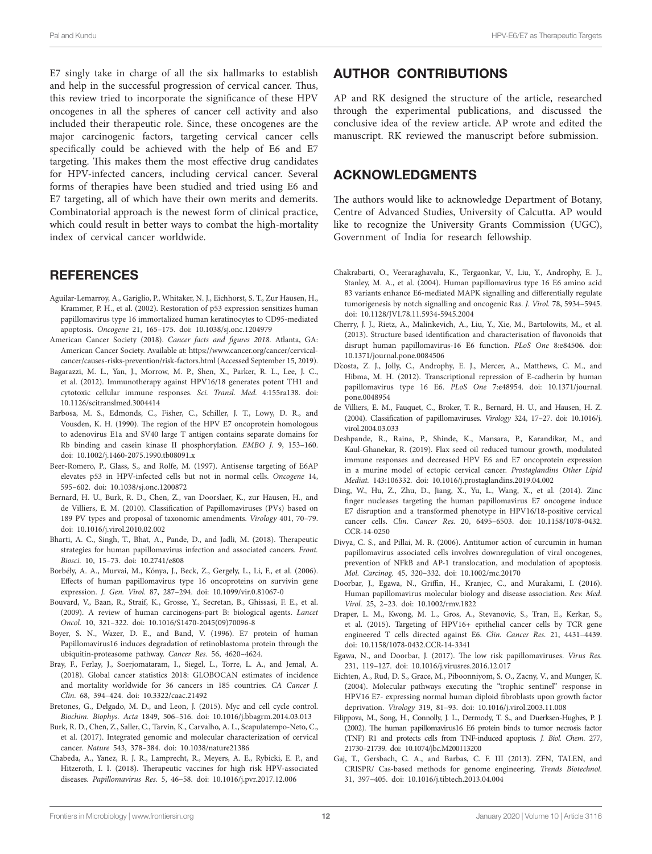E7 singly take in charge of all the six hallmarks to establish and help in the successful progression of cervical cancer. Thus, this review tried to incorporate the significance of these HPV oncogenes in all the spheres of cancer cell activity and also included their therapeutic role. Since, these oncogenes are the major carcinogenic factors, targeting cervical cancer cells specifically could be achieved with the help of E6 and E7 targeting. This makes them the most effective drug candidates for HPV-infected cancers, including cervical cancer. Several forms of therapies have been studied and tried using E6 and E7 targeting, all of which have their own merits and demerits. Combinatorial approach is the newest form of clinical practice, which could result in better ways to combat the high-mortality index of cervical cancer worldwide.

#### **REFERENCES**

- Aguilar-Lemarroy, A., Gariglio, P., Whitaker, N. J., Eichhorst, S. T., Zur Hausen, H., Krammer, P. H., et al. (2002). Restoration of p53 expression sensitizes human papillomavirus type 16 immortalized human keratinocytes to CD95-mediated apoptosis. Oncogene 21, 165–175. doi: 10.1038/sj.onc.1204979
- American Cancer Society (2018). Cancer facts and figures 2018. Atlanta, GA: American Cancer Society. Available at: https://www.cancer.org/cancer/cervicalcancer/causes-risks-prevention/risk-factors.html (Accessed September 15, 2019).
- Bagarazzi, M. L., Yan, J., Morrow, M. P., Shen, X., Parker, R. L., Lee, J. C., et al. (2012). Immunotherapy against HPV16/18 generates potent TH1 and cytotoxic cellular immune responses. Sci. Transl. Med. 4:155ra138. doi: 10.1126/scitranslmed.3004414
- Barbosa, M. S., Edmonds, C., Fisher, C., Schiller, J. T., Lowy, D. R., and Vousden, K. H. (1990). The region of the HPV E7 oncoprotein homologous to adenovirus E1a and SV40 large T antigen contains separate domains for Rb binding and casein kinase II phosphorylation. EMBO J. 9, 153–160. doi: 10.1002/j.1460-2075.1990.tb08091.x
- Beer-Romero, P., Glass, S., and Rolfe, M. (1997). Antisense targeting of E6AP elevates p53 in HPV-infected cells but not in normal cells. Oncogene 14, 595–602. doi: 10.1038/sj.onc.1200872
- Bernard, H. U., Burk, R. D., Chen, Z., van Doorslaer, K., zur Hausen, H., and de Villiers, E. M. (2010). Classification of Papillomaviruses (PVs) based on 189 PV types and proposal of taxonomic amendments. Virology 401, 70–79. doi: 10.1016/j.virol.2010.02.002
- Bharti, A. C., Singh, T., Bhat, A., Pande, D., and Jadli, M. (2018). Therapeutic strategies for human papillomavirus infection and associated cancers. Front. Biosci. 10, 15–73. doi: 10.2741/e808
- Borbély, A. A., Murvai, M., Kónya, J., Beck, Z., Gergely, L., Li, F., et al. (2006). Effects of human papillomavirus type 16 oncoproteins on survivin gene expression. J. Gen. Virol. 87, 287–294. doi: 10.1099/vir.0.81067-0
- Bouvard, V., Baan, R., Straif, K., Grosse, Y., Secretan, B., Ghissasi, F. E., et al. (2009). A review of human carcinogens-part B: biological agents. Lancet Oncol. 10, 321–322. doi: 10.1016/S1470-2045(09)70096-8
- Boyer, S. N., Wazer, D. E., and Band, V. (1996). E7 protein of human Papillomavirus16 induces degradation of retinoblastoma protein through the ubiquitin-proteasome pathway. Cancer Res. 56, 4620–4624.
- Bray, F., Ferlay, J., Soerjomataram, I., Siegel, L., Torre, L. A., and Jemal, A. (2018). Global cancer statistics 2018: GLOBOCAN estimates of incidence and mortality worldwide for 36 cancers in 185 countries. CA Cancer J. Clin. 68, 394–424. doi: 10.3322/caac.21492
- Bretones, G., Delgado, M. D., and Leon, J. (2015). Myc and cell cycle control. Biochim. Biophys. Acta 1849, 506–516. doi: 10.1016/j.bbagrm.2014.03.013
- Burk, R. D., Chen, Z., Saller, C., Tarvin, K., Carvalho, A. L., Scapulatempo-Neto, C., et al. (2017). Integrated genomic and molecular characterization of cervical cancer. Nature 543, 378–384. doi: 10.1038/nature21386
- Chabeda, A., Yanez, R. J. R., Lamprecht, R., Meyers, A. E., Rybicki, E. P., and Hitzeroth, I. I. (2018). Therapeutic vaccines for high risk HPV-associated diseases. Papillomavirus Res. 5, 46–58. doi: 10.1016/j.pvr.2017.12.006

#### AUTHOR CONTRIBUTIONS

AP and RK designed the structure of the article, researched through the experimental publications, and discussed the conclusive idea of the review article. AP wrote and edited the manuscript. RK reviewed the manuscript before submission.

#### ACKNOWLEDGMENTS

The authors would like to acknowledge Department of Botany, Centre of Advanced Studies, University of Calcutta. AP would like to recognize the University Grants Commission (UGC), Government of India for research fellowship.

- Chakrabarti, O., Veeraraghavalu, K., Tergaonkar, V., Liu, Y., Androphy, E. J., Stanley, M. A., et al. (2004). Human papillomavirus type 16 E6 amino acid 83 variants enhance E6-mediated MAPK signalling and differentially regulate tumorigenesis by notch signalling and oncogenic Ras. J. Virol. 78, 5934–5945. doi: 10.1128/JVI.78.11.5934-5945.2004
- Cherry, J. J., Rietz, A., Malinkevich, A., Liu, Y., Xie, M., Bartolowits, M., et al. (2013). Structure based identification and characterisation of flavonoids that disrupt human papillomavirus-16 E6 function. PLoS One 8:e84506. doi: 10.1371/journal.pone.0084506
- D'costa, Z. J., Jolly, C., Androphy, E. J., Mercer, A., Matthews, C. M., and Hibma, M. H. (2012). Transcriptional repression of E-cadherin by human papillomavirus type 16 E6. PLoS One 7:e48954. doi: 10.1371/journal. pone.0048954
- de Villiers, E. M., Fauquet, C., Broker, T. R., Bernard, H. U., and Hausen, H. Z. (2004). Classification of papillomaviruses. Virology 324, 17–27. doi: 10.1016/j. virol.2004.03.033
- Deshpande, R., Raina, P., Shinde, K., Mansara, P., Karandikar, M., and Kaul-Ghanekar, R. (2019). Flax seed oil reduced tumour growth, modulated immune responses and decreased HPV E6 and E7 oncoprotein expression in a murine model of ectopic cervical cancer. Prostaglandins Other Lipid Mediat. 143:106332. doi: 10.1016/j.prostaglandins.2019.04.002
- Ding, W., Hu, Z., Zhu, D., Jiang, X., Yu, L., Wang, X., et al. (2014). Zinc finger nucleases targeting the human papillomavirus E7 oncogene induce E7 disruption and a transformed phenotype in HPV16/18-positive cervical cancer cells. Clin. Cancer Res. 20, 6495–6503. doi: 10.1158/1078-0432. CCR-14-0250
- Divya, C. S., and Pillai, M. R. (2006). Antitumor action of curcumin in human papillomavirus associated cells involves downregulation of viral oncogenes, prevention of NFkB and AP-1 translocation, and modulation of apoptosis. Mol. Carcinog. 45, 320–332. doi: 10.1002/mc.20170
- Doorbar, J., Egawa, N., Griffin, H., Kranjec, C., and Murakami, I. (2016). Human papillomavirus molecular biology and disease association. Rev. Med. Virol. 25, 2–23. doi: 10.1002/rmv.1822
- Draper, L. M., Kwong, M. L., Gros, A., Stevanovic, S., Tran, E., Kerkar, S., et al. (2015). Targeting of HPV16+ epithelial cancer cells by TCR gene engineered T cells directed against E6. Clin. Cancer Res. 21, 4431–4439. doi: 10.1158/1078-0432.CCR-14-3341
- Egawa, N., and Doorbar, J. (2017). The low risk papillomaviruses. Virus Res. 231, 119–127. doi: 10.1016/j.virusres.2016.12.017
- Eichten, A., Rud, D. S., Grace, M., Piboonniyom, S. O., Zacny, V., and Munger, K. (2004). Molecular pathways executing the "trophic sentinel" response in HPV16 E7- expressing normal human diploid fibroblasts upon growth factor deprivation. Virology 319, 81–93. doi: 10.1016/j.virol.2003.11.008
- Filippova, M., Song, H., Connolly, J. L., Dermody, T. S., and Duerksen-Hughes, P. J. (2002). The human papillomavirus16 E6 protein binds to tumor necrosis factor (TNF) R1 and protects cells from TNF-induced apoptosis. J. Biol. Chem. 277, 21730–21739. doi: 10.1074/jbc.M200113200
- Gaj, T., Gersbach, C. A., and Barbas, C. F. III (2013). ZFN, TALEN, and CRISPR/ Cas-based methods for genome engineering. Trends Biotechnol. 31, 397–405. doi: 10.1016/j.tibtech.2013.04.004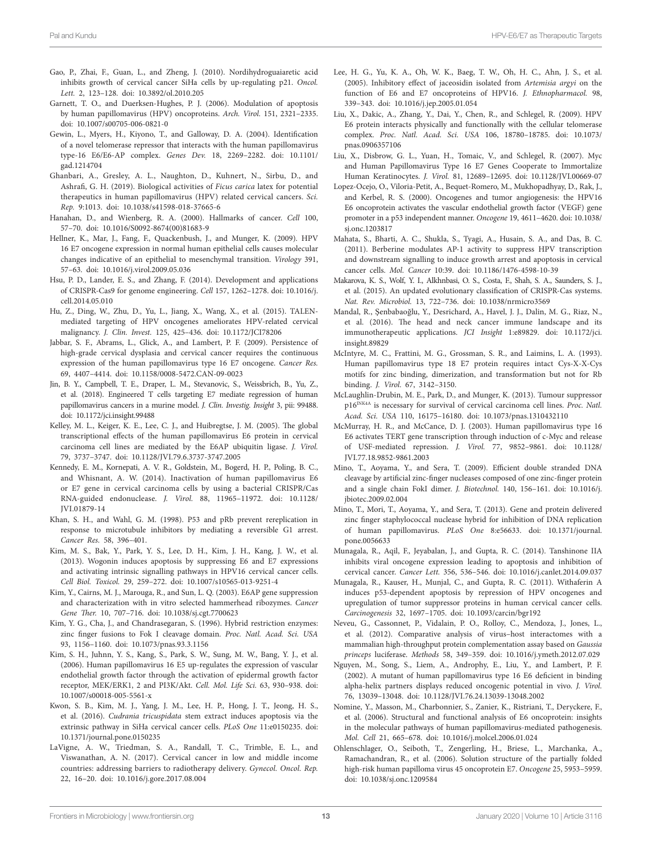- Gao, P., Zhai, F., Guan, L., and Zheng, J. (2010). Nordihydroguaiaretic acid inhibits growth of cervical cancer SiHa cells by up-regulating p21. Oncol. Lett. 2, 123–128. doi: 10.3892/ol.2010.205
- Garnett, T. O., and Duerksen-Hughes, P. J. (2006). Modulation of apoptosis by human papillomavirus (HPV) oncoproteins. Arch. Virol. 151, 2321–2335. doi: 10.1007/s00705-006-0821-0
- Gewin, L., Myers, H., Kiyono, T., and Galloway, D. A. (2004). Identification of a novel telomerase repressor that interacts with the human papillomavirus type-16 E6/E6-AP complex. Genes Dev. 18, 2269–2282. doi: 10.1101/ gad.1214704
- Ghanbari, A., Gresley, A. L., Naughton, D., Kuhnert, N., Sirbu, D., and Ashrafi, G. H. (2019). Biological activities of Ficus carica latex for potential therapeutics in human papillomavirus (HPV) related cervical cancers. Sci. Rep. 9:1013. doi: 10.1038/s41598-018-37665-6
- Hanahan, D., and Wienberg, R. A. (2000). Hallmarks of cancer. Cell 100, 57–70. doi: 10.1016/S0092-8674(00)81683-9
- Hellner, K., Mar, J., Fang, F., Quackenbush, J., and Munger, K. (2009). HPV 16 E7 oncogene expression in normal human epithelial cells causes molecular changes indicative of an epithelial to mesenchymal transition. Virology 391, 57–63. doi: 10.1016/j.virol.2009.05.036
- Hsu, P. D., Lander, E. S., and Zhang, F. (2014). Development and applications of CRISPR-Cas9 for genome engineering. Cell 157, 1262–1278. doi: 10.1016/j. cell.2014.05.010
- Hu, Z., Ding, W., Zhu, D., Yu, L., Jiang, X., Wang, X., et al. (2015). TALENmediated targeting of HPV oncogenes ameliorates HPV-related cervical malignancy. J. Clin. Invest. 125, 425–436. doi: 10.1172/JCI78206
- Jabbar, S. F., Abrams, L., Glick, A., and Lambert, P. F. (2009). Persistence of high-grade cervical dysplasia and cervical cancer requires the continuous expression of the human papillomavirus type 16 E7 oncogene. Cancer Res. 69, 4407–4414. doi: 10.1158/0008-5472.CAN-09-0023
- Jin, B. Y., Campbell, T. E., Draper, L. M., Stevanovic, S., Weissbrich, B., Yu, Z., et al. (2018). Engineered T cells targeting E7 mediate regression of human papillomavirus cancers in a murine model. J. Clin. Investig. Insight 3, pii: 99488. doi: 10.1172/jci.insight.99488
- Kelley, M. L., Keiger, K. E., Lee, C. J., and Huibregtse, J. M. (2005). The global transcriptional effects of the human papillomavirus E6 protein in cervical carcinoma cell lines are mediated by the E6AP ubiquitin ligase. J. Virol. 79, 3737–3747. doi: 10.1128/JVI.79.6.3737-3747.2005
- Kennedy, E. M., Kornepati, A. V. R., Goldstein, M., Bogerd, H. P., Poling, B. C., and Whisnant, A. W. (2014). Inactivation of human papillomavirus E6 or E7 gene in cervical carcinoma cells by using a bacterial CRISPR/Cas RNA-guided endonuclease. J. Virol. 88, 11965–11972. doi: 10.1128/ JVI.01879-14
- Khan, S. H., and Wahl, G. M. (1998). P53 and pRb prevent rereplication in response to microtubule inhibitors by mediating a reversible G1 arrest. Cancer Res. 58, 396–401.
- Kim, M. S., Bak, Y., Park, Y. S., Lee, D. H., Kim, J. H., Kang, J. W., et al. (2013). Wogonin induces apoptosis by suppressing E6 and E7 expressions and activating intrinsic signalling pathways in HPV16 cervical cancer cells. Cell Biol. Toxicol. 29, 259–272. doi: 10.1007/s10565-013-9251-4
- Kim, Y., Cairns, M. J., Marouga, R., and Sun, L. Q. (2003). E6AP gene suppression and characterization with in vitro selected hammerhead ribozymes. Cancer Gene Ther. 10, 707–716. doi: 10.1038/sj.cgt.7700623
- Kim, Y. G., Cha, J., and Chandrasegaran, S. (1996). Hybrid restriction enzymes: zinc finger fusions to Fok I cleavage domain. Proc. Natl. Acad. Sci. USA 93, 1156–1160. doi: 10.1073/pnas.93.3.1156
- Kim, S. H., Juhnn, Y. S., Kang, S., Park, S. W., Sung, M. W., Bang, Y. J., et al. (2006). Human papillomavirus 16 E5 up-regulates the expression of vascular endothelial growth factor through the activation of epidermal growth factor receptor, MEK/ERK1, 2 and PI3K/Akt. Cell. Mol. Life Sci. 63, 930–938. doi: 10.1007/s00018-005-5561-x
- Kwon, S. B., Kim, M. J., Yang, J. M., Lee, H. P., Hong, J. T., Jeong, H. S., et al. (2016). Cudrania tricuspidata stem extract induces apoptosis via the extrinsic pathway in SiHa cervical cancer cells. PLoS One 11:e0150235. doi: 10.1371/journal.pone.0150235
- LaVigne, A. W., Triedman, S. A., Randall, T. C., Trimble, E. L., and Viswanathan, A. N. (2017). Cervical cancer in low and middle income countries: addressing barriers to radiotherapy delivery. Gynecol. Oncol. Rep. 22, 16–20. doi: 10.1016/j.gore.2017.08.004
- Lee, H. G., Yu, K. A., Oh, W. K., Baeg, T. W., Oh, H. C., Ahn, J. S., et al. (2005). Inhibitory effect of jaceosidin isolated from Artemisia argyi on the function of E6 and E7 oncoproteins of HPV16. J. Ethnopharmacol. 98, 339–343. doi: 10.1016/j.jep.2005.01.054
- Liu, X., Dakic, A., Zhang, Y., Dai, Y., Chen, R., and Schlegel, R. (2009). HPV E6 protein interacts physically and functionally with the cellular telomerase complex. Proc. Natl. Acad. Sci. USA 106, 18780–18785. doi: 10.1073/ pnas.0906357106
- Liu, X., Disbrow, G. L., Yuan, H., Tomaic, V., and Schlegel, R. (2007). Myc and Human Papillomavirus Type 16 E7 Genes Cooperate to Immortalize Human Keratinocytes. J. Virol. 81, 12689–12695. doi: 10.1128/JVI.00669-07
- Lopez-Ocejo, O., Viloria-Petit, A., Bequet-Romero, M., Mukhopadhyay, D., Rak, J., and Kerbel, R. S. (2000). Oncogenes and tumor angiogenesis: the HPV16 E6 oncoprotein activates the vascular endothelial growth factor (VEGF) gene promoter in a p53 independent manner. Oncogene 19, 4611–4620. doi: 10.1038/ sj.onc.1203817
- Mahata, S., Bharti, A. C., Shukla, S., Tyagi, A., Husain, S. A., and Das, B. C. (2011). Berberine modulates AP-1 activity to suppress HPV transcription and downstream signalling to induce growth arrest and apoptosis in cervical cancer cells. Mol. Cancer 10:39. doi: 10.1186/1476-4598-10-39
- Makarova, K. S., Wolf, Y. I., Alkhnbasi, O. S., Costa, F., Shah, S. A., Saunders, S. J., et al. (2015). An updated evolutionary classification of CRISPR-Cas systems. Nat. Rev. Microbiol. 13, 722–736. doi: 10.1038/nrmicro3569
- Mandal, R., Şenbabaoğlu, Y., Desrichard, A., Havel, J. J., Dalin, M. G., Riaz, N., et al. (2016). The head and neck cancer immune landscape and its immunotherapeutic applications. JCI Insight 1:e89829. doi: 10.1172/jci. insight.89829
- McIntyre, M. C., Frattini, M. G., Grossman, S. R., and Laimins, L. A. (1993). Human papillomavirus type 18 E7 protein requires intact Cys-X-X-Cys motifs for zinc binding, dimerization, and transformation but not for Rb binding. J. Virol. 67, 3142–3150.
- McLaughlin-Drubin, M. E., Park, D., and Munger, K. (2013). Tumour suppressor  $p16^{INKA}$  is necessary for survival of cervical carcinoma cell lines. Proc. Natl. Acad. Sci. USA 110, 16175–16180. doi: 10.1073/pnas.1310432110
- McMurray, H. R., and McCance, D. J. (2003). Human papillomavirus type 16 E6 activates TERT gene transcription through induction of c-Myc and release of USF-mediated repression. J. Virol. 77, 9852–9861. doi: 10.1128/ JVI.77.18.9852-9861.2003
- Mino, T., Aoyama, Y., and Sera, T. (2009). Efficient double stranded DNA cleavage by artificial zinc-finger nucleases composed of one zinc-finger protein and a single chain FokI dimer. J. Biotechnol. 140, 156–161. doi: 10.1016/j. jbiotec.2009.02.004
- Mino, T., Mori, T., Aoyama, Y., and Sera, T. (2013). Gene and protein delivered zinc finger staphylococcal nuclease hybrid for inhibition of DNA replication of human papillomavirus. PLoS One 8:e56633. doi: 10.1371/journal. pone.0056633
- Munagala, R., Aqil, F., Jeyabalan, J., and Gupta, R. C. (2014). Tanshinone IIA inhibits viral oncogene expression leading to apoptosis and inhibition of cervical cancer. Cancer Lett. 356, 536–546. doi: 10.1016/j.canlet.2014.09.037
- Munagala, R., Kauser, H., Munjal, C., and Gupta, R. C. (2011). Withaferin A induces p53-dependent apoptosis by repression of HPV oncogenes and upregulation of tumor suppressor proteins in human cervical cancer cells. Carcinogenesis 32, 1697–1705. doi: 10.1093/carcin/bgr192
- Neveu, G., Cassonnet, P., Vidalain, P. O., Rolloy, C., Mendoza, J., Jones, L., et al. (2012). Comparative analysis of virus–host interactomes with a mammalian high-throughput protein complementation assay based on Gaussia princeps luciferase. Methods 58, 349–359. doi: 10.1016/j.ymeth.2012.07.029
- Nguyen, M., Song, S., Liem, A., Androphy, E., Liu, Y., and Lambert, P. F. (2002). A mutant of human papillomavirus type 16 E6 deficient in binding alpha-helix partners displays reduced oncogenic potential in vivo. J. Virol. 76, 13039–13048. doi: 10.1128/JVI.76.24.13039-13048.2002
- Nomine, Y., Masson, M., Charbonnier, S., Zanier, K., Ristriani, T., Deryckere, F., et al. (2006). Structural and functional analysis of E6 oncoprotein: insights in the molecular pathways of human papillomavirus-mediated pathogenesis. Mol. Cell 21, 665–678. doi: 10.1016/j.molcel.2006.01.024
- Ohlenschlager, O., Seiboth, T., Zengerling, H., Briese, L., Marchanka, A., Ramachandran, R., et al. (2006). Solution structure of the partially folded high-risk human papilloma virus 45 oncoprotein E7. Oncogene 25, 5953–5959. doi: 10.1038/sj.onc.1209584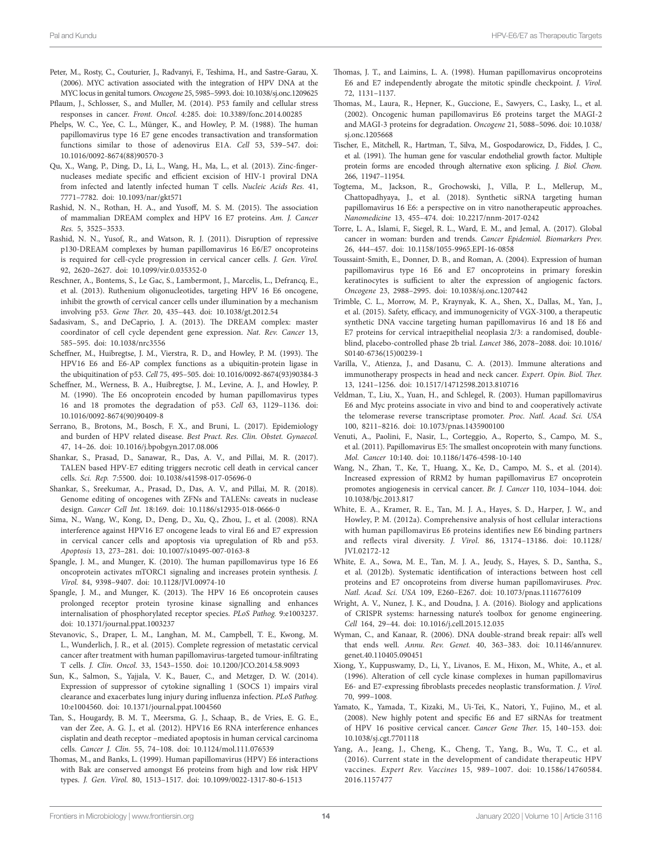- Peter, M., Rosty, C., Couturier, J., Radvanyi, F., Teshima, H., and Sastre-Garau, X. (2006). MYC activation associated with the integration of HPV DNA at the MYC locus in genital tumors. Oncogene 25, 5985–5993. doi: 10.1038/sj.onc.1209625
- Pflaum, J., Schlosser, S., and Muller, M. (2014). P53 family and cellular stress responses in cancer. Front. Oncol. 4:285. doi: 10.3389/fonc.2014.00285
- Phelps, W. C., Yee, C. L., Münger, K., and Howley, P. M. (1988). The human papillomavirus type 16 E7 gene encodes transactivation and transformation functions similar to those of adenovirus E1A. Cell 53, 539–547. doi: 10.1016/0092-8674(88)90570-3
- Qu, X., Wang, P., Ding, D., Li, L., Wang, H., Ma, L., et al. (2013). Zinc-fingernucleases mediate specific and efficient excision of HIV-1 proviral DNA from infected and latently infected human T cells. Nucleic Acids Res. 41, 7771–7782. doi: 10.1093/nar/gkt571
- Rashid, N. N., Rothan, H. A., and Yusoff, M. S. M. (2015). The association of mammalian DREAM complex and HPV 16 E7 proteins. Am. J. Cancer Res. 5, 3525–3533.
- Rashid, N. N., Yusof, R., and Watson, R. J. (2011). Disruption of repressive p130-DREAM complexes by human papillomavirus 16 E6/E7 oncoproteins is required for cell-cycle progression in cervical cancer cells. J. Gen. Virol. 92, 2620–2627. doi: 10.1099/vir.0.035352-0
- Reschner, A., Bontems, S., Le Gac, S., Lambermont, J., Marcelis, L., Defrancq, E., et al. (2013). Ruthenium oligonucleotides, targeting HPV 16 E6 oncogene, inhibit the growth of cervical cancer cells under illumination by a mechanism involving p53. Gene Ther. 20, 435–443. doi: 10.1038/gt.2012.54
- Sadasivam, S., and DeCaprio, J. A. (2013). The DREAM complex: master coordinator of cell cycle dependent gene expression. Nat. Rev. Cancer 13, 585–595. doi: 10.1038/nrc3556
- Scheffner, M., Huibregtse, J. M., Vierstra, R. D., and Howley, P. M. (1993). The HPV16 E6 and E6-AP complex functions as a ubiquitin-protein ligase in the ubiquitination of p53. Cell 75, 495–505. doi: 10.1016/0092-8674(93)90384-3
- Scheffner, M., Werness, B. A., Huibregtse, J. M., Levine, A. J., and Howley, P. M. (1990). The E6 oncoprotein encoded by human papillomavirus types 16 and 18 promotes the degradation of p53. Cell 63, 1129–1136. doi: 10.1016/0092-8674(90)90409-8
- Serrano, B., Brotons, M., Bosch, F. X., and Bruni, L. (2017). Epidemiology and burden of HPV related disease. Best Pract. Res. Clin. Obstet. Gynaecol. 47, 14–26. doi: 10.1016/j.bpobgyn.2017.08.006
- Shankar, S., Prasad, D., Sanawar, R., Das, A. V., and Pillai, M. R. (2017). TALEN based HPV-E7 editing triggers necrotic cell death in cervical cancer cells. Sci. Rep. 7:5500. doi: 10.1038/s41598-017-05696-0
- Shankar, S., Sreekumar, A., Prasad, D., Das, A. V., and Pillai, M. R. (2018). Genome editing of oncogenes with ZFNs and TALENs: caveats in nuclease design. Cancer Cell Int. 18:169. doi: 10.1186/s12935-018-0666-0
- Sima, N., Wang, W., Kong, D., Deng, D., Xu, Q., Zhou, J., et al. (2008). RNA interference against HPV16 E7 oncogene leads to viral E6 and E7 expression in cervical cancer cells and apoptosis via upregulation of Rb and p53. Apoptosis 13, 273–281. doi: 10.1007/s10495-007-0163-8
- Spangle, J. M., and Munger, K. (2010). The human papillomavirus type 16 E6 oncoprotein activates mTORC1 signaling and increases protein synthesis. J. Virol. 84, 9398–9407. doi: 10.1128/JVI.00974-10
- Spangle, J. M., and Munger, K. (2013). The HPV 16 E6 oncoprotein causes prolonged receptor protein tyrosine kinase signalling and enhances internalisation of phosphorylated receptor species. PLoS Pathog. 9:e1003237. doi: 10.1371/journal.ppat.1003237
- Stevanovic, S., Draper, L. M., Langhan, M. M., Campbell, T. E., Kwong, M. L., Wunderlich, J. R., et al. (2015). Complete regression of metastatic cervical cancer after treatment with human papillomavirus-targeted tumour-infiltrating T cells. J. Clin. Oncol. 33, 1543–1550. doi: 10.1200/JCO.2014.58.9093
- Sun, K., Salmon, S., Yajjala, V. K., Bauer, C., and Metzger, D. W. (2014). Expression of suppressor of cytokine signalling 1 (SOCS 1) impairs viral clearance and exacerbates lung injury during influenza infection. PLoS Pathog. 10:e1004560. doi: 10.1371/journal.ppat.1004560
- Tan, S., Hougardy, B. M. T., Meersma, G. J., Schaap, B., de Vries, E. G. E., van der Zee, A. G. J., et al. (2012). HPV16 E6 RNA interference enhances cisplatin and death receptor –mediated apoptosis in human cervical carcinoma cells. Cancer J. Clin. 55, 74–108. doi: 10.1124/mol.111.076539
- Thomas, M., and Banks, L. (1999). Human papillomavirus (HPV) E6 interactions with Bak are conserved amongst E6 proteins from high and low risk HPV types. J. Gen. Virol. 80, 1513–1517. doi: 10.1099/0022-1317-80-6-1513
- Thomas, J. T., and Laimins, L. A. (1998). Human papillomavirus oncoproteins E6 and E7 independently abrogate the mitotic spindle checkpoint. J. Virol. 72, 1131–1137.
- Thomas, M., Laura, R., Hepner, K., Guccione, E., Sawyers, C., Lasky, L., et al. (2002). Oncogenic human papillomavirus E6 proteins target the MAGI-2 and MAGI-3 proteins for degradation. Oncogene 21, 5088–5096. doi: 10.1038/ si.onc.1205668
- Tischer, E., Mitchell, R., Hartman, T., Silva, M., Gospodarowicz, D., Fiddes, J. C., et al. (1991). The human gene for vascular endothelial growth factor. Multiple protein forms are encoded through alternative exon splicing. J. Biol. Chem. 266, 11947–11954.
- Togtema, M., Jackson, R., Grochowski, J., Villa, P. L., Mellerup, M., Chattopadhyaya, J., et al. (2018). Synthetic siRNA targeting human papillomavirus 16 E6: a perspective on in vitro nanotherapeutic approaches. Nanomedicine 13, 455–474. doi: 10.2217/nnm-2017-0242
- Torre, L. A., Islami, F., Siegel, R. L., Ward, E. M., and Jemal, A. (2017). Global cancer in woman: burden and trends. Cancer Epidemiol. Biomarkers Prev. 26, 444–457. doi: 10.1158/1055-9965.EPI-16-0858
- Toussaint-Smith, E., Donner, D. B., and Roman, A. (2004). Expression of human papillomavirus type 16 E6 and E7 oncoproteins in primary foreskin keratinocytes is sufficient to alter the expression of angiogenic factors. Oncogene 23, 2988–2995. doi: 10.1038/sj.onc.1207442
- Trimble, C. L., Morrow, M. P., Kraynyak, K. A., Shen, X., Dallas, M., Yan, J., et al. (2015). Safety, efficacy, and immunogenicity of VGX-3100, a therapeutic synthetic DNA vaccine targeting human papillomavirus 16 and 18 E6 and E7 proteins for cervical intraepithelial neoplasia 2/3: a randomised, doubleblind, placebo-controlled phase 2b trial. Lancet 386, 2078–2088. doi: 10.1016/ S0140-6736(15)00239-1
- Varilla, V., Atienza, J., and Dasanu, C. A. (2013). Immune alterations and immunotherapy prospects in head and neck cancer. Expert. Opin. Biol. Ther. 13, 1241–1256. doi: 10.1517/14712598.2013.810716
- Veldman, T., Liu, X., Yuan, H., and Schlegel, R. (2003). Human papillomavirus E6 and Myc proteins associate in vivo and bind to and cooperatively activate the telomerase reverse transcriptase promoter. Proc. Natl. Acad. Sci. USA 100, 8211–8216. doi: 10.1073/pnas.1435900100
- Venuti, A., Paolini, F., Nasir, L., Corteggio, A., Roperto, S., Campo, M. S., et al. (2011). Papillomavirus E5: The smallest oncoprotein with many functions. Mol. Cancer 10:140. doi: 10.1186/1476-4598-10-140
- Wang, N., Zhan, T., Ke, T., Huang, X., Ke, D., Campo, M. S., et al. (2014). Increased expression of RRM2 by human papillomavirus E7 oncoprotein promotes angiogenesis in cervical cancer. Br. J. Cancer 110, 1034–1044. doi: 10.1038/bjc.2013.817
- White, E. A., Kramer, R. E., Tan, M. J. A., Hayes, S. D., Harper, J. W., and Howley, P. M. (2012a). Comprehensive analysis of host cellular interactions with human papillomavirus E6 proteins identifies new E6 binding partners and reflects viral diversity. J. Virol. 86, 13174–13186. doi: 10.1128/ JVI.02172-12
- White, E. A., Sowa, M. E., Tan, M. J. A., Jeudy, S., Hayes, S. D., Santha, S., et al. (2012b). Systematic identification of interactions between host cell proteins and E7 oncoproteins from diverse human papillomaviruses. Proc. Natl. Acad. Sci. USA 109, E260–E267. doi: 10.1073/pnas.1116776109
- Wright, A. V., Nunez, J. K., and Doudna, J. A. (2016). Biology and applications of CRISPR systems: harnessing nature's toolbox for genome engineering. Cell 164, 29–44. doi: 10.1016/j.cell.2015.12.035
- Wyman, C., and Kanaar, R. (2006). DNA double-strand break repair: all's well that ends well. Annu. Rev. Genet. 40, 363–383. doi: 10.1146/annurev. genet.40.110405.090451
- Xiong, Y., Kuppuswamy, D., Li, Y., Livanos, E. M., Hixon, M., White, A., et al. (1996). Alteration of cell cycle kinase complexes in human papillomavirus E6- and E7-expressing fibroblasts precedes neoplastic transformation. J. Virol. 70, 999–1008.
- Yamato, K., Yamada, T., Kizaki, M., Ui-Tei, K., Natori, Y., Fujino, M., et al. (2008). New highly potent and specific E6 and E7 siRNAs for treatment of HPV 16 positive cervical cancer. Cancer Gene Ther. 15, 140–153. doi: 10.1038/sj.cgt.7701118
- Yang, A., Jeang, J., Cheng, K., Cheng, T., Yang, B., Wu, T. C., et al. (2016). Current state in the development of candidate therapeutic HPV vaccines. Expert Rev. Vaccines 15, 989–1007. doi: 10.1586/14760584. 2016.1157477